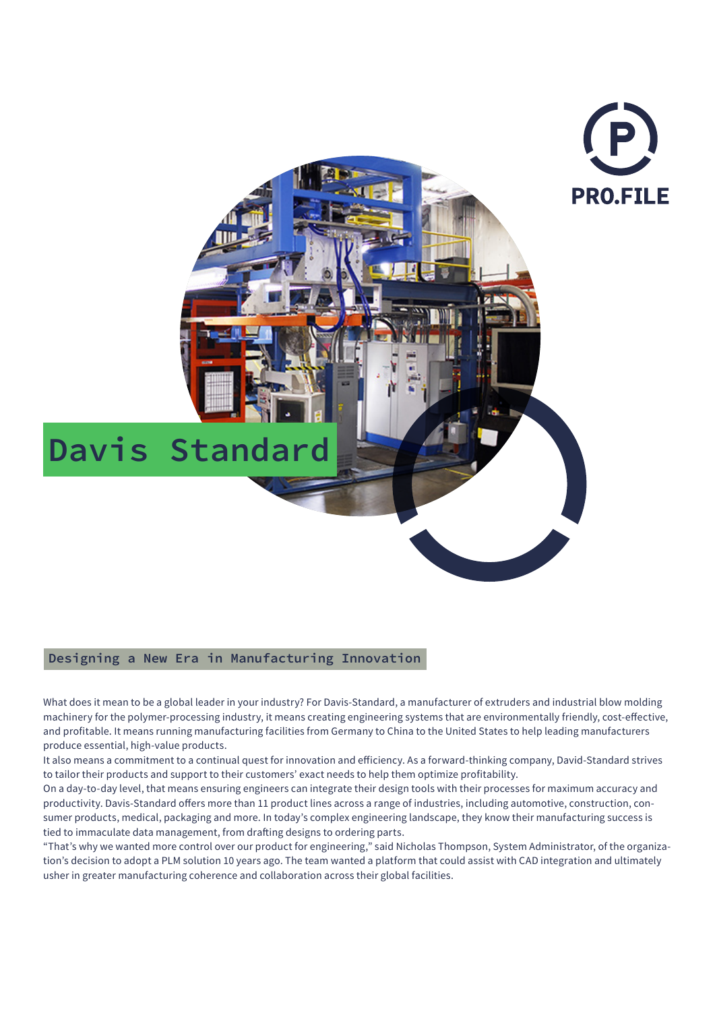

## **Designing a New Era in Manufacturing Innovation**

What does it mean to be a global leader in your industry? For Davis-Standard, a manufacturer of extruders and industrial blow molding machinery for the polymer-processing industry, it means creating engineering systems that are environmentally friendly, cost-effective, and profitable. It means running manufacturing facilities from Germany to China to the United States to help leading manufacturers produce essential, high-value products.

It also means a commitment to a continual quest for innovation and efficiency. As a forward-thinking company, David-Standard strives to tailor their products and support to their customers' exact needs to help them optimize profitability.

On a day-to-day level, that means ensuring engineers can integrate their design tools with their processes for maximum accuracy and productivity. Davis-Standard offers more than 11 product lines across a range of industries, including automotive, construction, consumer products, medical, packaging and more. In today's complex engineering landscape, they know their manufacturing success is tied to immaculate data management, from drafting designs to ordering parts.

"That's why we wanted more control over our product for engineering," said Nicholas Thompson, System Administrator, of the organization's decision to adopt a PLM solution 10 years ago. The team wanted a platform that could assist with CAD integration and ultimately usher in greater manufacturing coherence and collaboration across their global facilities.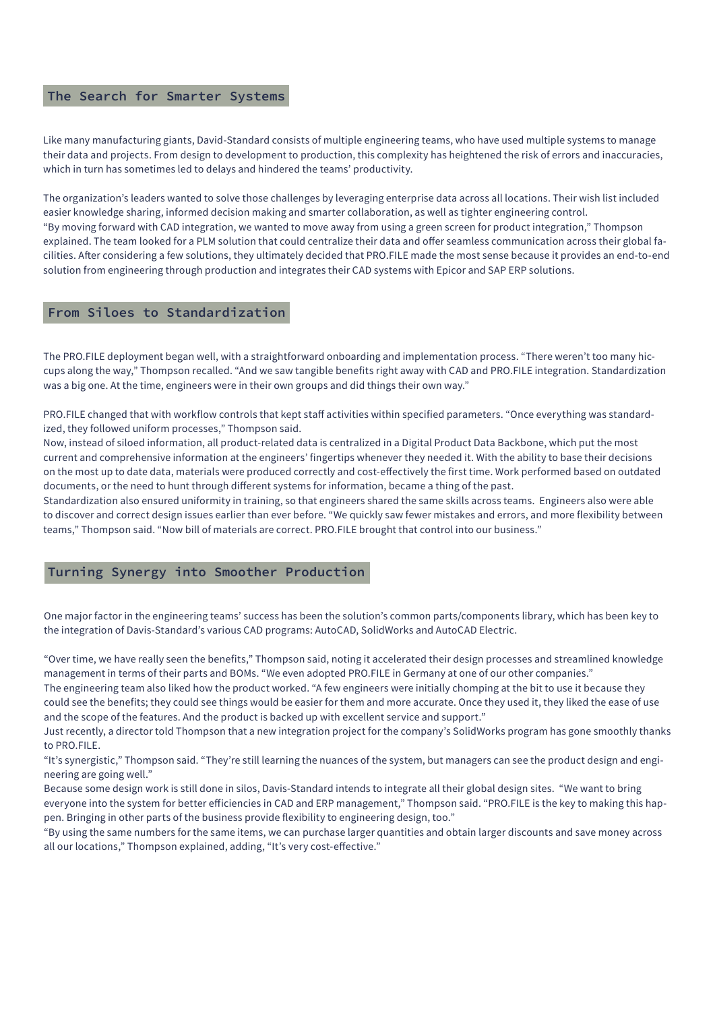## **The Search for Smarter Systems**

Like many manufacturing giants, David-Standard consists of multiple engineering teams, who have used multiple systems to manage their data and projects. From design to development to production, this complexity has heightened the risk of errors and inaccuracies, which in turn has sometimes led to delays and hindered the teams' productivity.

The organization's leaders wanted to solve those challenges by leveraging enterprise data across all locations. Their wish list included easier knowledge sharing, informed decision making and smarter collaboration, as well as tighter engineering control. "By moving forward with CAD integration, we wanted to move away from using a green screen for product integration," Thompson explained. The team looked for a PLM solution that could centralize their data and offer seamless communication across their global facilities. After considering a few solutions, they ultimately decided that PRO.FILE made the most sense because it provides an end-to-end solution from engineering through production and integrates their CAD systems with Epicor and SAP ERP solutions.

### **From Siloes to Standardization**

The PRO.FILE deployment began well, with a straightforward onboarding and implementation process. "There weren't too many hiccups along the way," Thompson recalled. "And we saw tangible benefits right away with CAD and PRO.FILE integration. Standardization was a big one. At the time, engineers were in their own groups and did things their own way."

PRO.FILE changed that with workflow controls that kept staff activities within specified parameters. "Once everything was standardized, they followed uniform processes," Thompson said.

Now, instead of siloed information, all product-related data is centralized in a Digital Product Data Backbone, which put the most current and comprehensive information at the engineers' fingertips whenever they needed it. With the ability to base their decisions on the most up to date data, materials were produced correctly and cost-effectively the first time. Work performed based on outdated documents, or the need to hunt through different systems for information, became a thing of the past.

Standardization also ensured uniformity in training, so that engineers shared the same skills across teams. Engineers also were able to discover and correct design issues earlier than ever before. "We quickly saw fewer mistakes and errors, and more flexibility between teams," Thompson said. "Now bill of materials are correct. PRO.FILE brought that control into our business."

#### **Turning Synergy into Smoother Production**

One major factor in the engineering teams' success has been the solution's common parts/components library, which has been key to the integration of Davis-Standard's various CAD programs: AutoCAD, SolidWorks and AutoCAD Electric.

"Over time, we have really seen the benefits," Thompson said, noting it accelerated their design processes and streamlined knowledge management in terms of their parts and BOMs. "We even adopted PRO.FILE in Germany at one of our other companies."

The engineering team also liked how the product worked. "A few engineers were initially chomping at the bit to use it because they could see the benefits; they could see things would be easier for them and more accurate. Once they used it, they liked the ease of use and the scope of the features. And the product is backed up with excellent service and support."

Just recently, a director told Thompson that a new integration project for the company's SolidWorks program has gone smoothly thanks to PRO.FILE.

"It's synergistic," Thompson said. "They're still learning the nuances of the system, but managers can see the product design and engineering are going well."

Because some design work is still done in silos, Davis-Standard intends to integrate all their global design sites. "We want to bring everyone into the system for better efficiencies in CAD and ERP management," Thompson said. "PRO.FILE is the key to making this happen. Bringing in other parts of the business provide flexibility to engineering design, too."

"By using the same numbers for the same items, we can purchase larger quantities and obtain larger discounts and save money across all our locations," Thompson explained, adding, "It's very cost-effective."